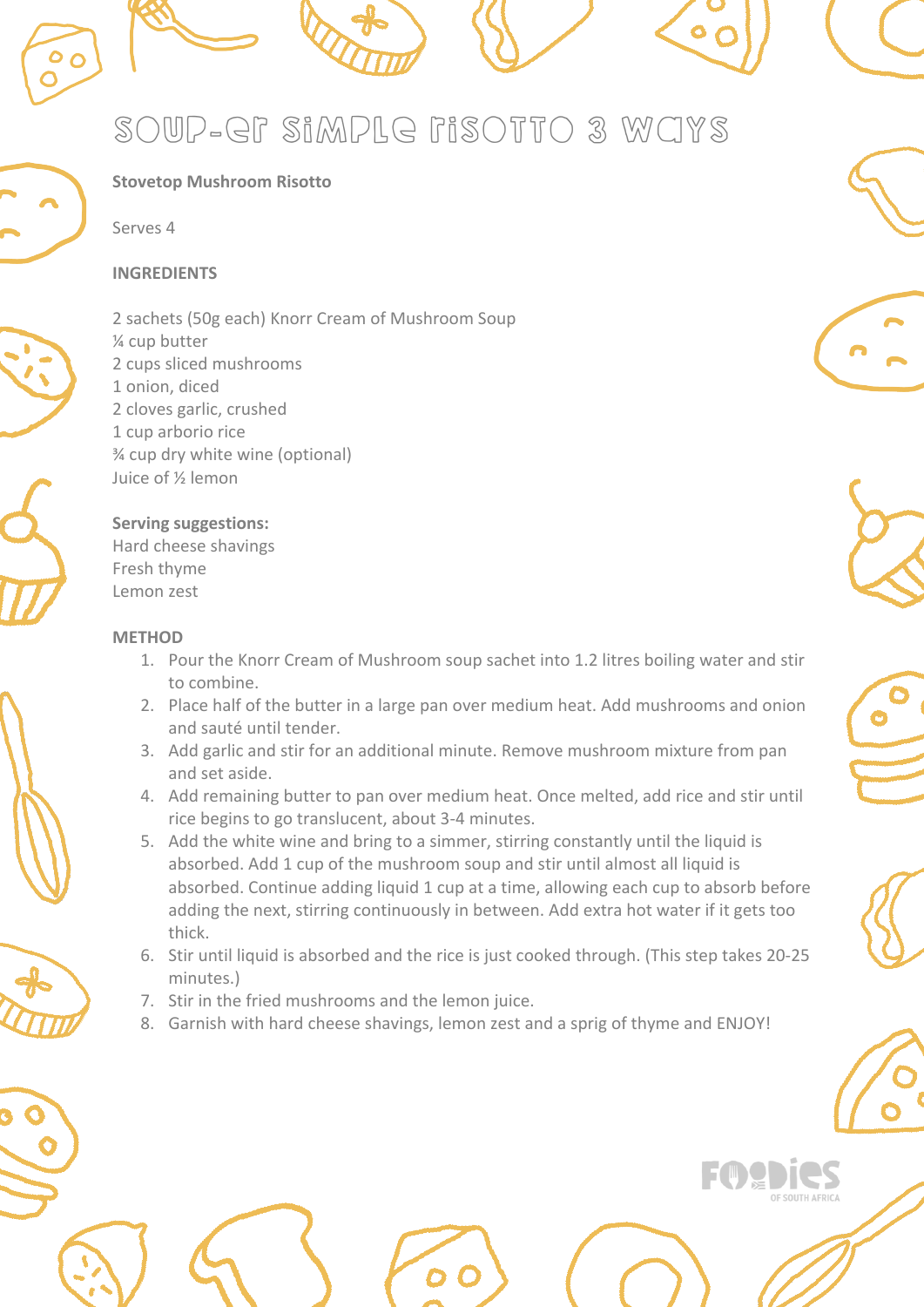# soup-er simple risotto 3 ways

# **Stovetop Mushroom Risotto**

Serves 4

# **INGREDIENTS**

2 sachets (50g each) Knorr Cream of Mushroom Soup ¼ cup butter 2 cups sliced mushrooms 1 onion, diced 2 cloves garlic, crushed 1 cup arborio rice ¾ cup dry white wine (optional) Juice of ½ lemon

# **Serving suggestions:**

Hard cheese shavings Fresh thyme Lemon zest

# **METHOD**

- 1. Pour the Knorr Cream of Mushroom soup sachet into 1.2 litres boiling water and stir to combine.
- 2. Place half of the butter in a large pan over medium heat. Add mushrooms and onion and sauté until tender.
- 3. Add garlic and stir for an additional minute. Remove mushroom mixture from pan and set aside.
- 4. Add remaining butter to pan over medium heat. Once melted, add rice and stir until rice begins to go translucent, about 3-4 minutes.
- 5. Add the white wine and bring to a simmer, stirring constantly until the liquid is absorbed. Add 1 cup of the mushroom soup and stir until almost all liquid is absorbed. Continue adding liquid 1 cup at a time, allowing each cup to absorb before adding the next, stirring continuously in between. Add extra hot water if it gets too thick.
- 6. Stir until liquid is absorbed and the rice is just cooked through. (This step takes 20-25 minutes.)
- 7. Stir in the fried mushrooms and the lemon juice.
- 8. Garnish with hard cheese shavings, lemon zest and a sprig of thyme and ENJOY!



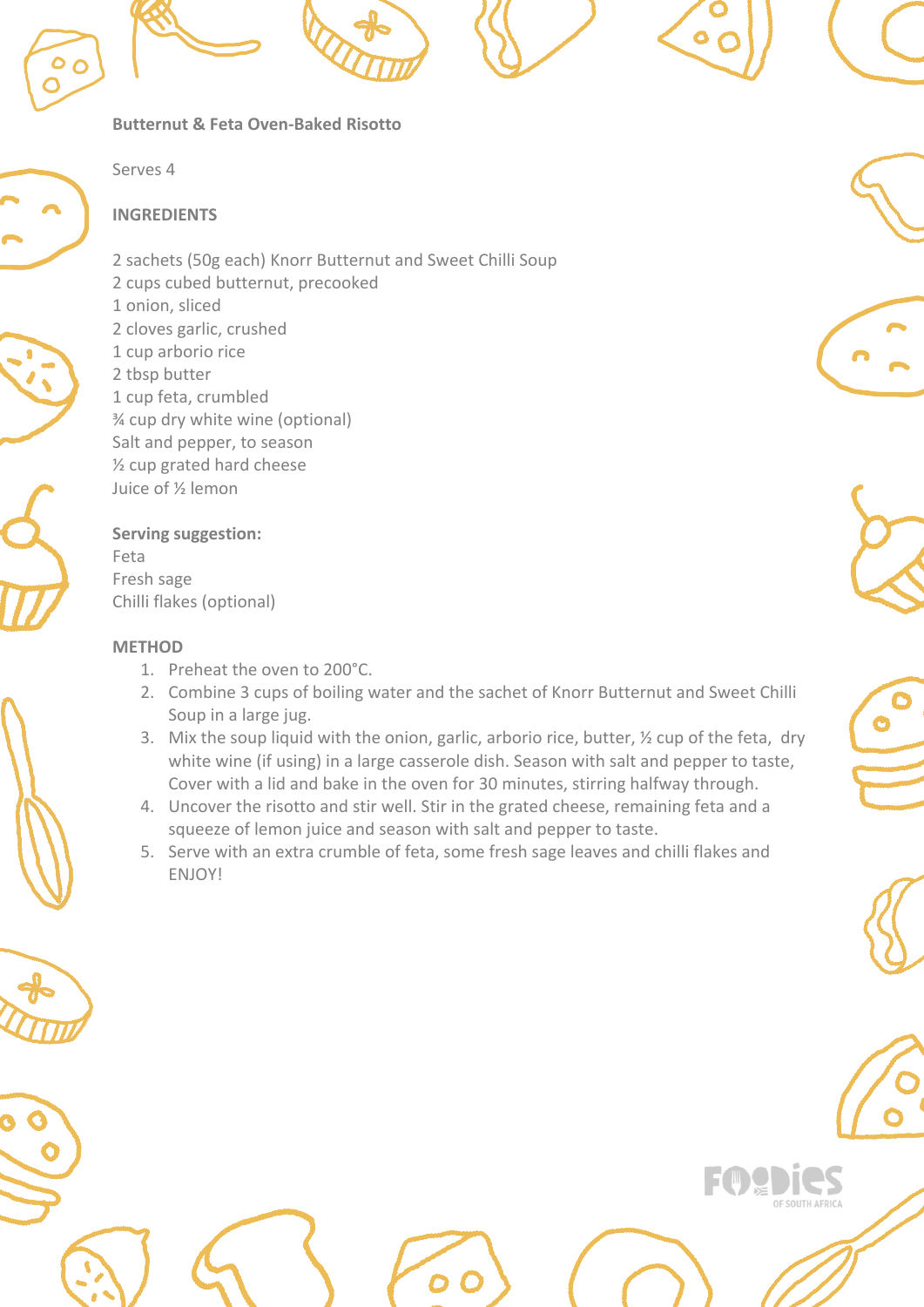









Serves 4

**Butternut & Feta Oven-Baked Risotto**

# **INGREDIENTS**

2 sachets (50g each) Knorr Butternut and Sweet Chilli Soup 2 cups cubed butternut, precooked 1 onion, sliced 2 cloves garlic, crushed 1 cup arborio rice 2 tbsp butter 1 cup feta, crumbled ¾ cup dry white wine (optional) Salt and pepper, to season ½ cup grated hard cheese Juice of ½ lemon

# **Serving suggestion:** Feta

Fresh sage Chilli flakes (optional)

# **METHOD**

- 1. Preheat the oven to 200°C.
- 2. Combine 3 cups of boiling water and the sachet of Knorr Butternut and Sweet Chilli Soup in a large jug.
- 3. Mix the soup liquid with the onion, garlic, arborio rice, butter, ½ cup of the feta, dry white wine (if using) in a large casserole dish. Season with salt and pepper to taste, Cover with a lid and bake in the oven for 30 minutes, stirring halfway through.
- 4. Uncover the risotto and stir well. Stir in the grated cheese, remaining feta and a squeeze of lemon juice and season with salt and pepper to taste.
- 5. Serve with an extra crumble of feta, some fresh sage leaves and chilli flakes and ENJOY!